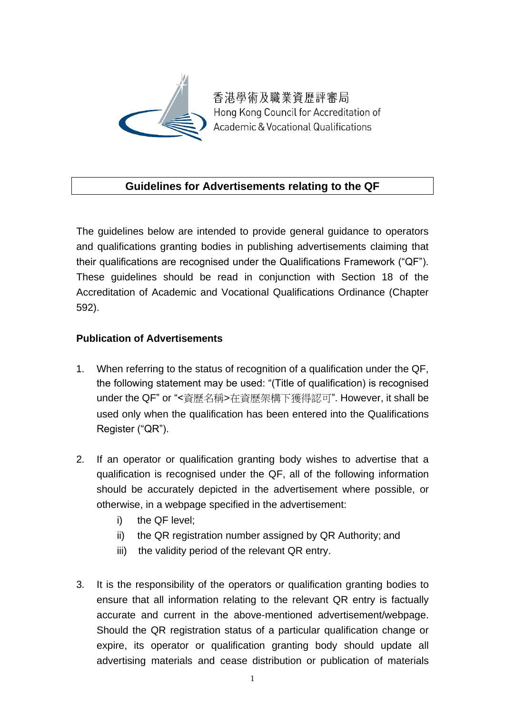

香港學術及職業資歷評審局 Hong Kong Council for Accreditation of **Academic & Vocational Qualifications** 

## **Guidelines for Advertisements relating to the QF**

The guidelines below are intended to provide general guidance to operators and qualifications granting bodies in publishing advertisements claiming that their qualifications are recognised under the Qualifications Framework ("QF"). These guidelines should be read in conjunction with Section 18 of the Accreditation of Academic and Vocational Qualifications Ordinance (Chapter 592).

## **Publication of Advertisements**

- 1. When referring to the status of recognition of a qualification under the QF, the following statement may be used: "(Title of qualification) is recognised under the QF" or "<資歷名稱>在資歷架構下獲得認可". However, it shall be used only when the qualification has been entered into the Qualifications Register ("QR").
- 2. If an operator or qualification granting body wishes to advertise that a qualification is recognised under the QF, all of the following information should be accurately depicted in the advertisement where possible, or otherwise, in a webpage specified in the advertisement:
	- i) the QF level;
	- ii) the QR registration number assigned by QR Authority; and
	- iii) the validity period of the relevant QR entry.
- 3. It is the responsibility of the operators or qualification granting bodies to ensure that all information relating to the relevant QR entry is factually accurate and current in the above-mentioned advertisement/webpage. Should the QR registration status of a particular qualification change or expire, its operator or qualification granting body should update all advertising materials and cease distribution or publication of materials